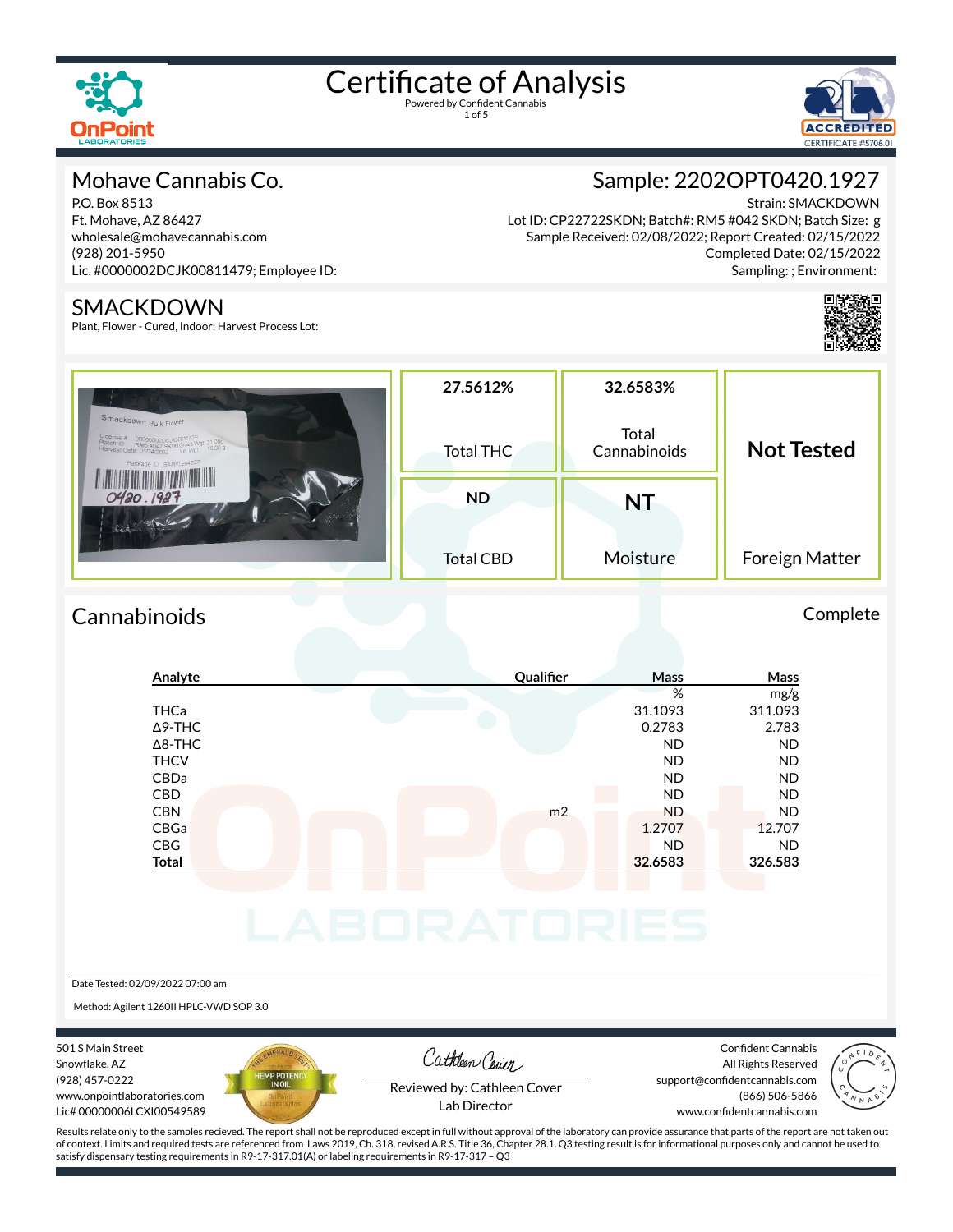



#### Mohave Cannabis Co.

P.O. Box 8513 Ft. Mohave, AZ 86427 wholesale@mohavecannabis.com (928) 201-5950 Lic. #0000002DCJK00811479; Employee ID:

#### SMACKDOWN

Plant, Flower - Cured, Indoor; Harvest Process Lot:

### Sample: 2202OPT0420.1927

Strain: SMACKDOWN Lot ID: CP22722SKDN; Batch#: RM5 #042 SKDN; Batch Size: g Sample Received: 02/08/2022; Report Created: 02/15/2022 Completed Date: 02/15/2022 Sampling: ; Environment:



| Smackdown Bulk Flower<br>$\begin{tabular}{ l c c c} \text{License $\#$} & \text{00000002DCJK00811479} \\ \text{Batch ID:} & \text{RMS $\#042$ SKDM Gross Wgt 21.00g$} \\ \text{Harvest Date: $01/24/2022$} & \text{Net Wgt 16.00 g} \end{tabular}$<br>Package ID: SAMPLE042CP | 27.5612%<br><b>Total THC</b> | 32.6583%<br>Total<br>Cannabinoids | <b>Not Tested</b>     |  |
|-------------------------------------------------------------------------------------------------------------------------------------------------------------------------------------------------------------------------------------------------------------------------------|------------------------------|-----------------------------------|-----------------------|--|
| 0420.1927<br>fine of the of                                                                                                                                                                                                                                                   | <b>ND</b>                    | <b>NT</b>                         |                       |  |
|                                                                                                                                                                                                                                                                               | <b>Total CBD</b>             | Moisture                          | <b>Foreign Matter</b> |  |

### Cannabinoids Complete

| %<br>31.1093<br>0.2783<br><b>ND</b> | mg/g<br>311.093<br>2.783<br><b>ND</b> |
|-------------------------------------|---------------------------------------|
|                                     |                                       |
|                                     |                                       |
|                                     |                                       |
|                                     |                                       |
| <b>ND</b>                           | <b>ND</b>                             |
| <b>ND</b>                           | <b>ND</b>                             |
| <b>ND</b>                           | <b>ND</b>                             |
| <b>ND</b>                           | <b>ND</b>                             |
|                                     | 12.707                                |
| <b>ND</b>                           | <b>ND</b>                             |
|                                     | 326.583                               |
| m <sub>2</sub>                      | 1.2707<br>32.6583                     |

#### Date Tested: 02/09/2022 07:00 am

Method: Agilent 1260II HPLC-VWD SOP 3.0

501 S Main Street Snowflake, AZ (928) 457-0222 www.onpointlaboratories.com Lic# 00000006LCXI00549589



Cathleen Cover

Confident Cannabis All Rights Reserved support@confidentcannabis.com (866) 506-5866



Reviewed by: Cathleen Cover Lab Director

www.confidentcannabis.com

Results relate only to the samples recieved. The report shall not be reproduced except in full without approval of the laboratory can provide assurance that parts of the report are not taken out of context. Limits and required tests are referenced from Laws 2019, Ch. 318, revised A.R.S. Title 36, Chapter 28.1. Q3 testing result is for informational purposes only and cannot be used to satisfy dispensary testing requirements in R9-17-317.01(A) or labeling requirements in R9-17-317 – Q3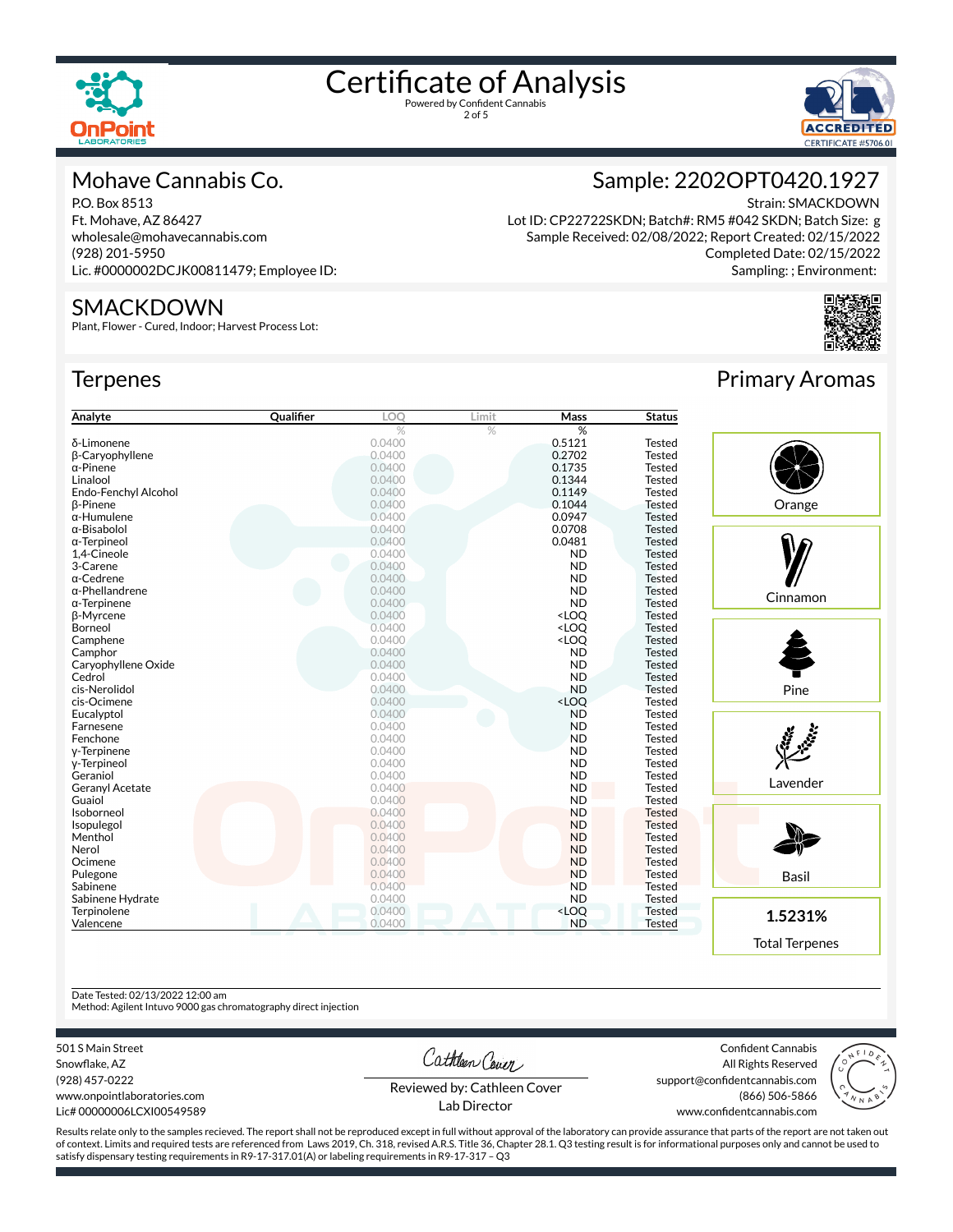

2 of 5



#### Mohave Cannabis Co.

P.O. Box 8513 Ft. Mohave, AZ 86427 wholesale@mohavecannabis.com (928) 201-5950 Lic. #0000002DCJK00811479; Employee ID:

#### SMACKDOWN

Plant, Flower - Cured, Indoor; Harvest Process Lot:

#### **Terpenes**

| Analyte                | <b>Qualifier</b> | LOO    | Limit | <b>Mass</b>                               | <b>Status</b> |
|------------------------|------------------|--------|-------|-------------------------------------------|---------------|
|                        |                  | %      | $\%$  | %                                         |               |
| δ-Limonene             |                  | 0.0400 |       | 0.5121                                    | <b>Tested</b> |
| β-Caryophyllene        |                  | 0.0400 |       | 0.2702                                    | <b>Tested</b> |
| $\alpha$ -Pinene       |                  | 0.0400 |       | 0.1735                                    | <b>Tested</b> |
| Linalool               |                  | 0.0400 |       | 0.1344                                    | <b>Tested</b> |
| Endo-Fenchyl Alcohol   |                  | 0.0400 |       | 0.1149                                    | <b>Tested</b> |
| <b>B-Pinene</b>        |                  | 0.0400 |       | 0.1044                                    | <b>Tested</b> |
| $\alpha$ -Humulene     |                  | 0.0400 |       | 0.0947                                    | <b>Tested</b> |
| α-Bisabolol            |                  | 0.0400 |       | 0.0708                                    | <b>Tested</b> |
| α-Terpineol            |                  | 0.0400 |       | 0.0481                                    | <b>Tested</b> |
| 1,4-Cineole            |                  | 0.0400 |       | <b>ND</b>                                 | <b>Tested</b> |
| 3-Carene               |                  | 0.0400 |       | <b>ND</b>                                 | <b>Tested</b> |
| $\alpha$ -Cedrene      |                  | 0.0400 |       | <b>ND</b>                                 | <b>Tested</b> |
| $\alpha$ -Phellandrene |                  | 0.0400 |       | <b>ND</b>                                 | <b>Tested</b> |
| $\alpha$ -Terpinene    |                  | 0.0400 |       | <b>ND</b>                                 | <b>Tested</b> |
| <b>B-Myrcene</b>       |                  | 0.0400 |       | <loq< td=""><td><b>Tested</b></td></loq<> | <b>Tested</b> |
| Borneol                |                  | 0.0400 |       | <loq< td=""><td><b>Tested</b></td></loq<> | <b>Tested</b> |
| Camphene               |                  | 0.0400 |       | <loq< td=""><td><b>Tested</b></td></loq<> | <b>Tested</b> |
| Camphor                |                  | 0.0400 |       | <b>ND</b>                                 | <b>Tested</b> |
| Caryophyllene Oxide    |                  | 0.0400 |       | <b>ND</b>                                 | <b>Tested</b> |
| Cedrol                 |                  | 0.0400 |       | <b>ND</b>                                 | <b>Tested</b> |
| cis-Nerolidol          |                  | 0.0400 |       | <b>ND</b>                                 | <b>Tested</b> |
| cis-Ocimene            |                  | 0.0400 |       | <loq< td=""><td><b>Tested</b></td></loq<> | <b>Tested</b> |
| Eucalyptol             |                  | 0.0400 |       | <b>ND</b>                                 | <b>Tested</b> |
| Farnesene              |                  | 0.0400 |       | <b>ND</b>                                 | <b>Tested</b> |
| Fenchone               |                  | 0.0400 |       | <b>ND</b>                                 | <b>Tested</b> |
| y-Terpinene            |                  | 0.0400 |       | <b>ND</b>                                 | <b>Tested</b> |
| y-Terpineol            |                  | 0.0400 |       | <b>ND</b>                                 | <b>Tested</b> |
| Geraniol               |                  | 0.0400 |       | <b>ND</b>                                 | <b>Tested</b> |
| Geranyl Acetate        |                  | 0.0400 |       | <b>ND</b>                                 | <b>Tested</b> |
| Guaiol                 |                  | 0.0400 |       | <b>ND</b>                                 | Tested        |
| Isoborneol             |                  | 0.0400 |       | <b>ND</b>                                 | <b>Tested</b> |
| Isopulegol             |                  | 0.0400 |       | <b>ND</b>                                 | <b>Tested</b> |
| Menthol                |                  | 0.0400 |       | <b>ND</b>                                 | <b>Tested</b> |
| Nerol                  |                  | 0.0400 |       | <b>ND</b>                                 | <b>Tested</b> |
| Ocimene                |                  | 0.0400 |       | <b>ND</b>                                 | <b>Tested</b> |
| Pulegone               |                  | 0.0400 |       | <b>ND</b>                                 | <b>Tested</b> |
| Sabinene               |                  | 0.0400 |       | <b>ND</b>                                 | <b>Tested</b> |
| Sabinene Hydrate       |                  | 0.0400 |       | <b>ND</b>                                 | <b>Tested</b> |
| Terpinolene            |                  | 0.0400 |       | <loq< td=""><td><b>Tested</b></td></loq<> | <b>Tested</b> |
| Valencene              |                  | 0.0400 |       | <b>ND</b>                                 | <b>Tested</b> |

Strain: SMACKDOWN

Completed Date: 02/15/2022 Sampling: ; Environment:



#### Date Tested: 02/13/2022 12:00 am

Method: Agilent Intuvo 9000 gas chromatography direct injection

501 S Main Street

Snowflake, AZ (928) 457-0222 www.onpointlaboratories.com Lic# 00000006LCXI00549589 Cathleen Cover

Confident Cannabis All Rights Reserved support@confidentcannabis.com (866) 506-5866



Reviewed by: Cathleen Cover Lab Director

www.confidentcannabis.com

Results relate only to the samples recieved. The report shall not be reproduced except in full without approval of the laboratory can provide assurance that parts of the report are not taken out of context. Limits and required tests are referenced from Laws 2019, Ch. 318, revised A.R.S. Title 36, Chapter 28.1. Q3 testing result is for informational purposes only and cannot be used to satisfy dispensary testing requirements in R9-17-317.01(A) or labeling requirements in R9-17-317 – Q3





Sample: 2202OPT0420.1927

Lot ID: CP22722SKDN; Batch#: RM5 #042 SKDN; Batch Size: g Sample Received: 02/08/2022; Report Created: 02/15/2022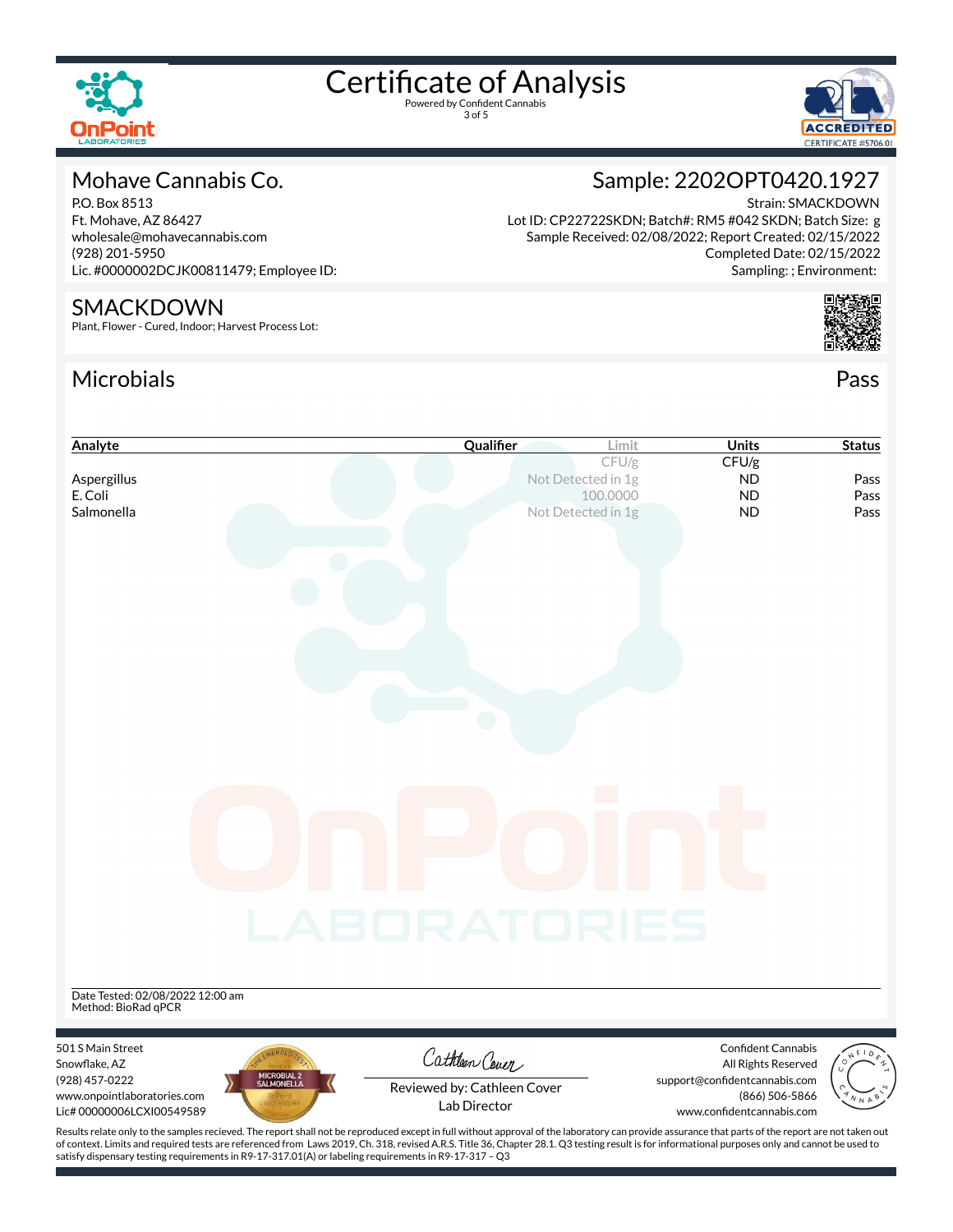

3 of 5



#### Mohave Cannabis Co.

P.O. Box 8513 Ft. Mohave, AZ 86427 wholesale@mohavecannabis.com (928) 201-5950 Lic. #0000002DCJK00811479; Employee ID:

#### SMACKDOWN

Plant, Flower - Cured, Indoor; Harvest Process Lot:

#### Microbials Pass



Strain: SMACKDOWN

Sampling: ; Environment:

Sample: 2202OPT0420.1927



| Analyte                                                 | Qualifier                                                                                                                                                                                          | <b>Units</b><br>Limit                       | <b>Status</b>        |
|---------------------------------------------------------|----------------------------------------------------------------------------------------------------------------------------------------------------------------------------------------------------|---------------------------------------------|----------------------|
|                                                         |                                                                                                                                                                                                    | CFU/g<br>CFU/g                              |                      |
| Aspergillus<br>E. Coli                                  | Not Detected in 1g                                                                                                                                                                                 | <b>ND</b><br>100.0000<br><b>ND</b>          | Pass<br>Pass         |
| Salmonella                                              | Not Detected in 1g                                                                                                                                                                                 | <b>ND</b>                                   | Pass                 |
|                                                         |                                                                                                                                                                                                    |                                             |                      |
|                                                         |                                                                                                                                                                                                    |                                             |                      |
|                                                         |                                                                                                                                                                                                    |                                             |                      |
|                                                         |                                                                                                                                                                                                    |                                             |                      |
|                                                         |                                                                                                                                                                                                    |                                             |                      |
|                                                         |                                                                                                                                                                                                    |                                             |                      |
|                                                         |                                                                                                                                                                                                    |                                             |                      |
|                                                         |                                                                                                                                                                                                    |                                             |                      |
|                                                         |                                                                                                                                                                                                    |                                             |                      |
|                                                         |                                                                                                                                                                                                    |                                             |                      |
|                                                         |                                                                                                                                                                                                    |                                             |                      |
|                                                         |                                                                                                                                                                                                    |                                             |                      |
|                                                         |                                                                                                                                                                                                    |                                             |                      |
|                                                         |                                                                                                                                                                                                    |                                             |                      |
|                                                         |                                                                                                                                                                                                    |                                             |                      |
|                                                         |                                                                                                                                                                                                    |                                             |                      |
|                                                         |                                                                                                                                                                                                    |                                             |                      |
|                                                         | LABORATORIES                                                                                                                                                                                       |                                             |                      |
|                                                         |                                                                                                                                                                                                    |                                             |                      |
|                                                         |                                                                                                                                                                                                    |                                             |                      |
| Date Tested: 02/08/2022 12:00 am                        |                                                                                                                                                                                                    |                                             |                      |
| Method: BioRad qPCR                                     |                                                                                                                                                                                                    |                                             |                      |
|                                                         |                                                                                                                                                                                                    |                                             |                      |
| 501 S Main Street<br>Snowflake, AZ                      | Cathleen Cover                                                                                                                                                                                     | Confident Cannabis<br>All Rights Reserved   |                      |
| MICROBIAL 2<br>SALMONELLA<br>(928) 457-0222             | Reviewed by: Cathleen Cover                                                                                                                                                                        | support@confidentcannabis.com               |                      |
| www.onpointlaboratories.com<br>Lic#00000006LCXI00549589 | Lab Director                                                                                                                                                                                       | (866) 506-5866<br>www.confidentcannabis.com | $\sqrt[q]{\sqrt{N}}$ |
|                                                         | Results relate only to the samples recieved. The report shall not be reproduced except in full without approval of the laboratory can provide assurance that parts of the report are not taken out |                                             |                      |
|                                                         |                                                                                                                                                                                                    |                                             |                      |

of context. Limits and required tests are referenced from Laws 2019, Ch. 318, revised A.R.S. Title 36, Chapter 28.1. Q3 testing result is for informational purposes only and cannot be used to satisfy dispensary testing requirements in R9-17-317.01(A) or labeling requirements in R9-17-317 – Q3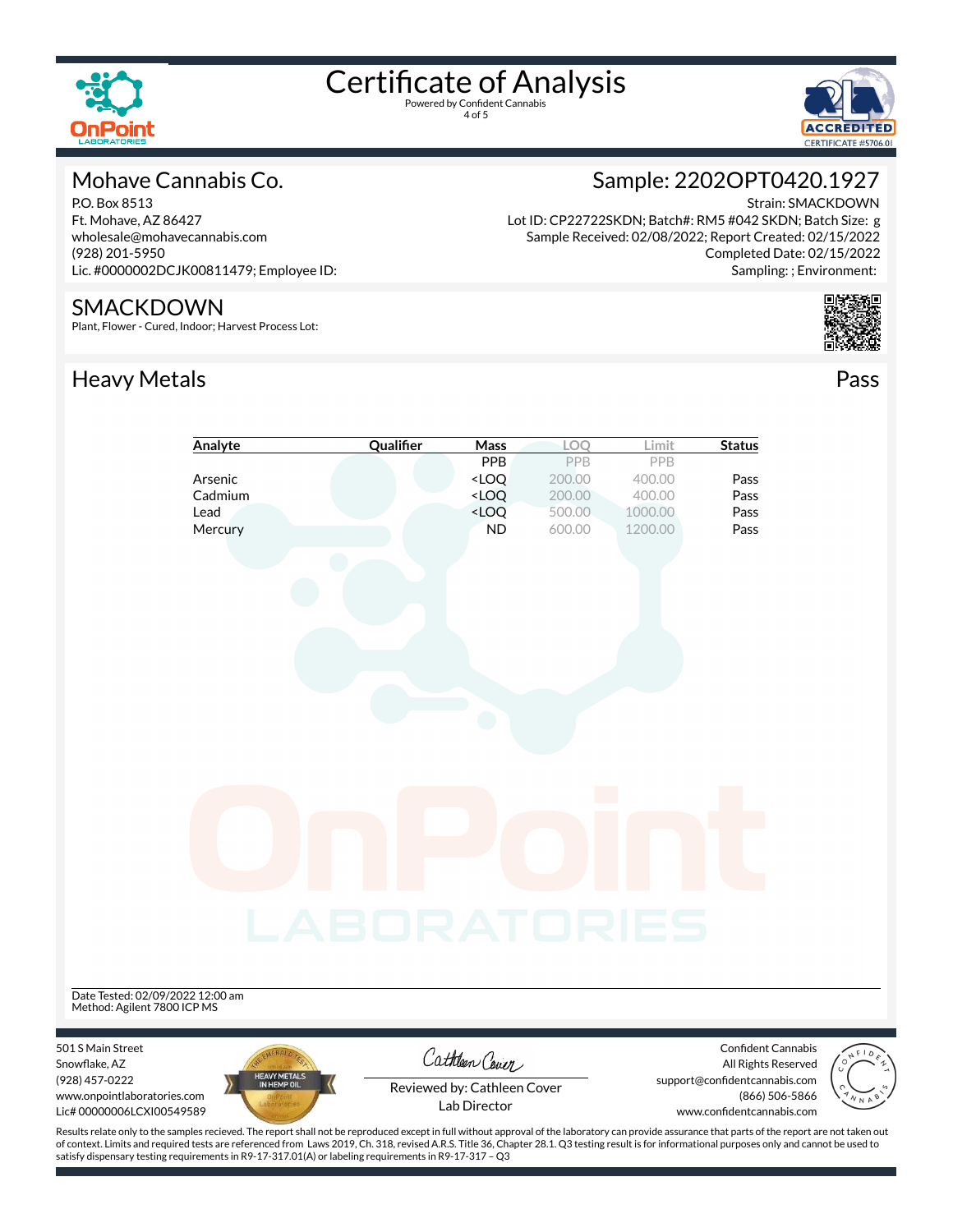



#### Mohave Cannabis Co.

P.O. Box 8513 Ft. Mohave, AZ 86427 wholesale@mohavecannabis.com (928) 201-5950 Lic. #0000002DCJK00811479; Employee ID:

#### SMACKDOWN

Plant, Flower - Cured, Indoor; Harvest Process Lot:

### Heavy Metals **Pass**

### Sample: 2202OPT0420.1927

Strain: SMACKDOWN Lot ID: CP22722SKDN; Batch#: RM5 #042 SKDN; Batch Size: g Sample Received: 02/08/2022; Report Created: 02/15/2022 Completed Date: 02/15/2022 Sampling: ; Environment:



|                                                                 | Analyte                     | Qualifier    | Mass                                                            | LOO                        | Limit   | <b>Status</b>                                                                                                                                                                            |
|-----------------------------------------------------------------|-----------------------------|--------------|-----------------------------------------------------------------|----------------------------|---------|------------------------------------------------------------------------------------------------------------------------------------------------------------------------------------------|
|                                                                 |                             |              | PPB                                                             | PPB                        | PPB     |                                                                                                                                                                                          |
|                                                                 | Arsenic                     |              | <loq< th=""><th>200.00</th><th>400.00</th><th>Pass</th></loq<>  | 200.00                     | 400.00  | Pass                                                                                                                                                                                     |
|                                                                 | Cadmium                     |              | <loq< th=""><th>200.00</th><th>400.00</th><th>Pass</th></loq<>  | 200.00                     | 400.00  | Pass                                                                                                                                                                                     |
|                                                                 | Lead                        |              | <loq< td=""><td>500.00</td><td>1000.00</td><td>Pass</td></loq<> | 500.00                     | 1000.00 | Pass                                                                                                                                                                                     |
|                                                                 | Mercury                     |              | ND                                                              | 600.00                     | 1200.00 | Pass                                                                                                                                                                                     |
| Date Tested: 02/09/2022 12:00 am<br>Method: Agilent 7800 ICP MS |                             | LABORATORIES |                                                                 | $\mathcal{O}(\mathcal{O})$ |         |                                                                                                                                                                                          |
| 501 S Main Street                                               |                             |              |                                                                 |                            |         | Confident Cannabis                                                                                                                                                                       |
| Snowflake, AZ                                                   |                             |              | Cathleen Cover                                                  |                            |         | All Rights Reserved<br>$\circ$                                                                                                                                                           |
| (928) 457-0222                                                  | HEAVY METALS<br>IN HEMP OIL |              | Reviewed by: Cathleen Cover                                     |                            |         | support@confidentcannabis.com                                                                                                                                                            |
| www.onpointlaboratories.com                                     |                             |              | Lab Director                                                    |                            |         | (866) 506-5866                                                                                                                                                                           |
| Lic# 00000006LCXI00549589                                       |                             |              |                                                                 |                            |         | www.confidentcannabis.com                                                                                                                                                                |
|                                                                 |                             |              |                                                                 |                            |         | Results relate only to the samples recieved. The report shall not be reproduced except in full without approval of the laboratory can provide assurance that parts of the report are not |

Results relate only to the samples recieved. The report shall not be reproduced except in full without approval of the laboratory can provide assurance that parts of the report are not taken out of context. Limits and required tests are referenced from Laws 2019, Ch. 318, revised A.R.S. Title 36, Chapter 28.1. Q3 testing result is for informational purposes only and cannot be used to satisfy dispensary testing requirements in R9-17-317.01(A) or labeling requirements in R9-17-317 – Q3